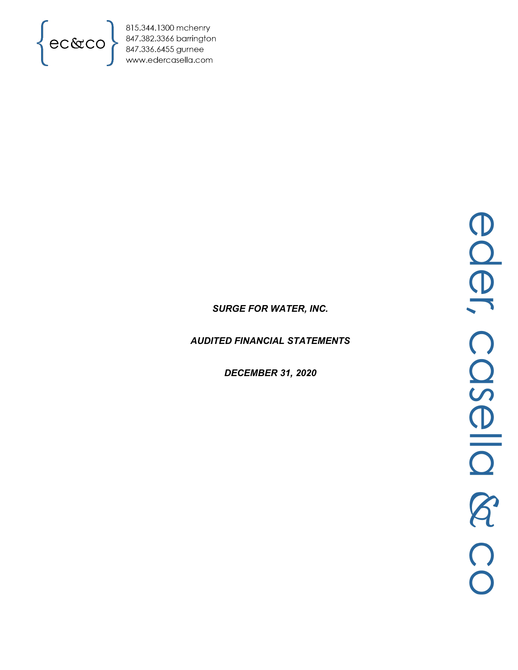

815.344.1300 mchenry<br>847.382.3366 barrington<br>847.336.6455 gurnee<br>www.edercasella.com

# *SURGE FOR WATER, INC.*

*AUDITED FINANCIAL STATEMENTS*

*DECEMBER 31, 2020*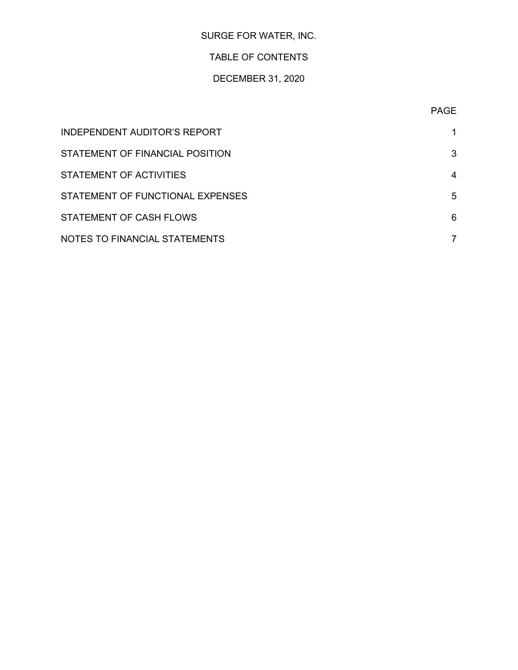# SURGE FOR WATER, INC.

# TABLE OF CONTENTS

# DECEMBER 31, 2020

| INDEPENDENT AUDITOR'S REPORT     |   |
|----------------------------------|---|
| STATEMENT OF FINANCIAL POSITION  | 3 |
| STATEMENT OF ACTIVITIES          | 4 |
| STATEMENT OF FUNCTIONAL EXPENSES | 5 |
| STATEMENT OF CASH FLOWS          | 6 |
| NOTES TO FINANCIAL STATEMENTS    |   |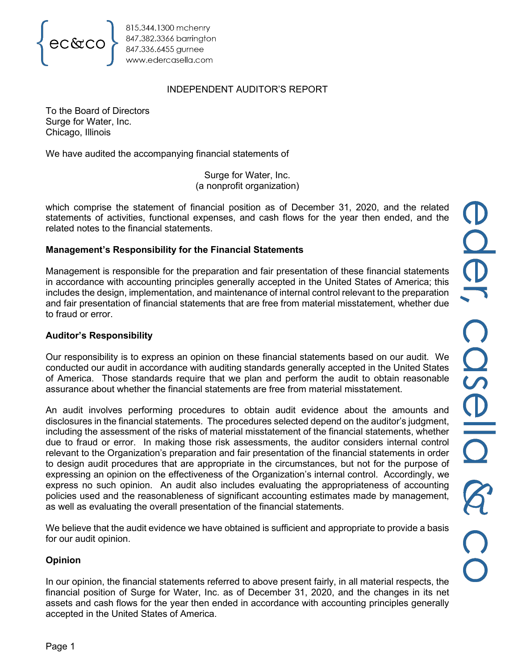

# INDEPENDENT AUDITOR'S REPORT

To the Board of Directors Surge for Water, Inc. Chicago, Illinois

We have audited the accompanying financial statements of

Surge for Water, Inc. (a nonprofit organization)

which comprise the statement of financial position as of December 31, 2020, and the related statements of activities, functional expenses, and cash flows for the year then ended, and the related notes to the financial statements.

# **Management's Responsibility for the Financial Statements**

Management is responsible for the preparation and fair presentation of these financial statements in accordance with accounting principles generally accepted in the United States of America; this includes the design, implementation, and maintenance of internal control relevant to the preparation and fair presentation of financial statements that are free from material misstatement, whether due to fraud or error.

# **Auditor's Responsibility**

Our responsibility is to express an opinion on these financial statements based on our audit. We conducted our audit in accordance with auditing standards generally accepted in the United States of America. Those standards require that we plan and perform the audit to obtain reasonable assurance about whether the financial statements are free from material misstatement.

An audit involves performing procedures to obtain audit evidence about the amounts and disclosures in the financial statements. The procedures selected depend on the auditor's judgment, including the assessment of the risks of material misstatement of the financial statements, whether due to fraud or error. In making those risk assessments, the auditor considers internal control relevant to the Organization's preparation and fair presentation of the financial statements in order to design audit procedures that are appropriate in the circumstances, but not for the purpose of expressing an opinion on the effectiveness of the Organization's internal control. Accordingly, we express no such opinion. An audit also includes evaluating the appropriateness of accounting policies used and the reasonableness of significant accounting estimates made by management, as well as evaluating the overall presentation of the financial statements.

We believe that the audit evidence we have obtained is sufficient and appropriate to provide a basis for our audit opinion.

# **Opinion**

In our opinion, the financial statements referred to above present fairly, in all material respects, the financial position of Surge for Water, Inc. as of December 31, 2020, and the changes in its net assets and cash flows for the year then ended in accordance with accounting principles generally accepted in the United States of America.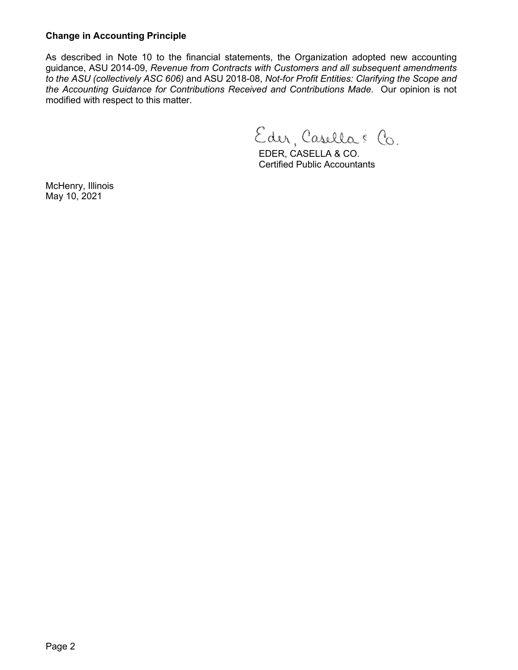# **Change in Accounting Principle**

As described in Note 10 to the financial statements, the Organization adopted new accounting guidance, ASU 2014-09, *Revenue from Contracts with Customers and all subsequent amendments to the ASU (collectively ASC 606)* and ASU 2018-08, *Not-for Profit Entities: Clarifying the Scope and the Accounting Guidance for Contributions Received and Contributions Made*. Our opinion is not modified with respect to this matter.

Eder, Casella & Co.

EDER, CASELLA & CO. Certified Public Accountants

McHenry, Illinois May 10, 2021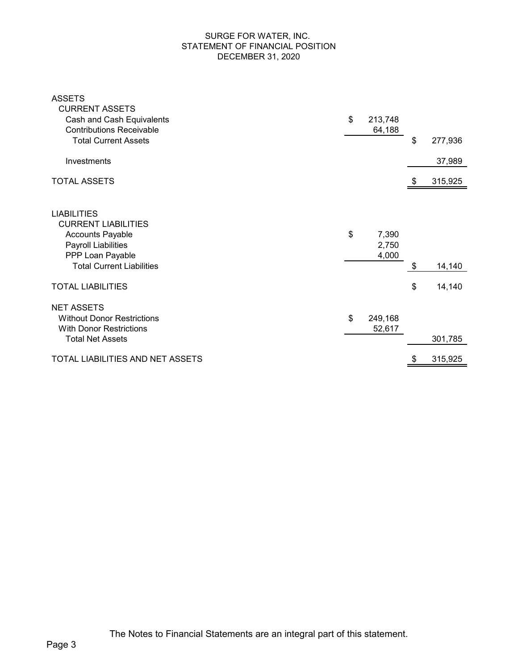### SURGE FOR WATER, INC. STATEMENT OF FINANCIAL POSITION DECEMBER 31, 2020

| <b>ASSETS</b><br><b>CURRENT ASSETS</b>                                                                                                                     |                               |               |
|------------------------------------------------------------------------------------------------------------------------------------------------------------|-------------------------------|---------------|
| Cash and Cash Equivalents<br><b>Contributions Receivable</b>                                                                                               | \$<br>213,748<br>64,188       |               |
| <b>Total Current Assets</b>                                                                                                                                |                               | \$<br>277,936 |
| Investments                                                                                                                                                |                               | 37,989        |
| <b>TOTAL ASSETS</b>                                                                                                                                        |                               | 315,925       |
| <b>LIABILITIES</b><br><b>CURRENT LIABILITIES</b><br><b>Accounts Payable</b><br>Payroll Liabilities<br>PPP Loan Payable<br><b>Total Current Liabilities</b> | \$<br>7,390<br>2,750<br>4,000 | \$<br>14,140  |
| <b>TOTAL LIABILITIES</b>                                                                                                                                   |                               | \$<br>14,140  |
| <b>NET ASSETS</b><br><b>Without Donor Restrictions</b><br><b>With Donor Restrictions</b><br><b>Total Net Assets</b>                                        | \$<br>249,168<br>52,617       | 301,785       |
| TOTAL LIABILITIES AND NET ASSETS                                                                                                                           |                               | \$<br>315,925 |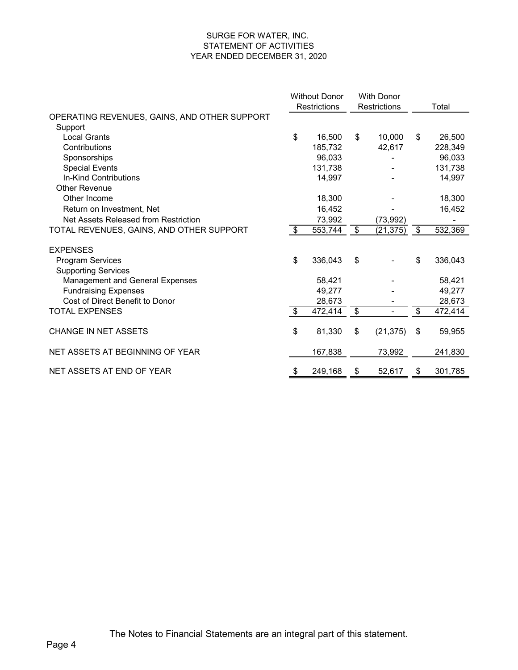#### SURGE FOR WATER, INC. STATEMENT OF ACTIVITIES YEAR ENDED DECEMBER 31, 2020

|                                              | <b>Without Donor</b> |         |                     | <b>With Donor</b> |               |
|----------------------------------------------|----------------------|---------|---------------------|-------------------|---------------|
|                                              | <b>Restrictions</b>  |         | <b>Restrictions</b> |                   | Total         |
| OPERATING REVENUES, GAINS, AND OTHER SUPPORT |                      |         |                     |                   |               |
| Support                                      |                      |         |                     |                   |               |
| <b>Local Grants</b>                          | \$                   | 16,500  | \$                  | 10,000            | \$<br>26,500  |
| Contributions                                |                      | 185,732 |                     | 42,617            | 228,349       |
| Sponsorships                                 |                      | 96,033  |                     |                   | 96,033        |
| <b>Special Events</b>                        |                      | 131,738 |                     |                   | 131,738       |
| In-Kind Contributions                        |                      | 14,997  |                     |                   | 14,997        |
| <b>Other Revenue</b>                         |                      |         |                     |                   |               |
| Other Income                                 |                      | 18,300  |                     |                   | 18,300        |
| Return on Investment, Net                    |                      | 16,452  |                     |                   | 16,452        |
| Net Assets Released from Restriction         |                      | 73,992  |                     | (73, 992)         |               |
| TOTAL REVENUES, GAINS, AND OTHER SUPPORT     | \$                   | 553,744 | \$                  | (21, 375)         | \$<br>532,369 |
| <b>EXPENSES</b>                              |                      |         |                     |                   |               |
| <b>Program Services</b>                      | \$                   | 336,043 | \$                  |                   | \$<br>336,043 |
| <b>Supporting Services</b>                   |                      |         |                     |                   |               |
| Management and General Expenses              |                      | 58,421  |                     |                   | 58,421        |
| <b>Fundraising Expenses</b>                  |                      | 49,277  |                     |                   | 49,277        |
| Cost of Direct Benefit to Donor              |                      | 28,673  |                     |                   | 28,673        |
| <b>TOTAL EXPENSES</b>                        | $\sqrt[6]{2}$        | 472,414 | \$                  |                   | \$<br>472,414 |
|                                              |                      |         |                     |                   |               |
| <b>CHANGE IN NET ASSETS</b>                  | \$                   | 81,330  | \$                  | (21, 375)         | \$<br>59,955  |
| NET ASSETS AT BEGINNING OF YEAR              |                      | 167,838 |                     | 73,992            | 241,830       |
| NET ASSETS AT END OF YEAR                    | \$                   | 249,168 | \$                  | 52,617            | \$<br>301,785 |
|                                              |                      |         |                     |                   |               |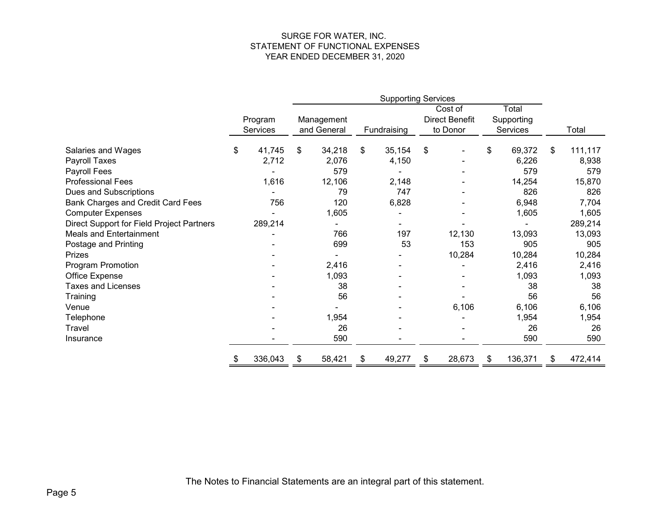#### SURGE FOR WATER, INC. STATEMENT OF FUNCTIONAL EXPENSES YEAR ENDED DECEMBER 31, 2020

|                                           |                     | <b>Supporting Services</b> |                           |    |             |    |                                              |                                 |               |
|-------------------------------------------|---------------------|----------------------------|---------------------------|----|-------------|----|----------------------------------------------|---------------------------------|---------------|
|                                           | Program<br>Services |                            | Management<br>and General |    | Fundraising |    | Cost of<br><b>Direct Benefit</b><br>to Donor | Total<br>Supporting<br>Services | Total         |
| Salaries and Wages                        | \$<br>41,745        | \$                         | 34,218                    | \$ | 35,154      | \$ |                                              | \$<br>69,372                    | \$<br>111,117 |
| Payroll Taxes                             | 2,712               |                            | 2,076                     |    | 4,150       |    |                                              | 6,226                           | 8,938         |
| Payroll Fees                              |                     |                            | 579                       |    |             |    |                                              | 579                             | 579           |
| <b>Professional Fees</b>                  | 1,616               |                            | 12,106                    |    | 2,148       |    |                                              | 14,254                          | 15,870        |
| Dues and Subscriptions                    |                     |                            | 79                        |    | 747         |    |                                              | 826                             | 826           |
| Bank Charges and Credit Card Fees         | 756                 |                            | 120                       |    | 6,828       |    |                                              | 6,948                           | 7,704         |
| <b>Computer Expenses</b>                  |                     |                            | 1,605                     |    |             |    |                                              | 1,605                           | 1,605         |
| Direct Support for Field Project Partners | 289,214             |                            |                           |    |             |    |                                              |                                 | 289,214       |
| <b>Meals and Entertainment</b>            |                     |                            | 766                       |    | 197         |    | 12,130                                       | 13,093                          | 13,093        |
| Postage and Printing                      |                     |                            | 699                       |    | 53          |    | 153                                          | 905                             | 905           |
| Prizes                                    |                     |                            |                           |    |             |    | 10,284                                       | 10,284                          | 10,284        |
| Program Promotion                         |                     |                            | 2,416                     |    |             |    |                                              | 2,416                           | 2,416         |
| Office Expense                            |                     |                            | 1,093                     |    |             |    |                                              | 1,093                           | 1,093         |
| <b>Taxes and Licenses</b>                 |                     |                            | 38                        |    |             |    |                                              | 38                              | 38            |
| Training                                  |                     |                            | 56                        |    |             |    |                                              | 56                              | 56            |
| Venue                                     |                     |                            |                           |    |             |    | 6,106                                        | 6,106                           | 6,106         |
| Telephone                                 |                     |                            | 1,954                     |    |             |    |                                              | 1,954                           | 1,954         |
| Travel                                    |                     |                            | 26                        |    |             |    |                                              | 26                              | 26            |
| Insurance                                 |                     |                            | 590                       |    |             |    |                                              | 590                             | 590           |
|                                           | 336,043             | \$                         | 58,421                    | \$ | 49,277      | \$ | 28,673                                       | \$<br>136,371                   | \$<br>472,414 |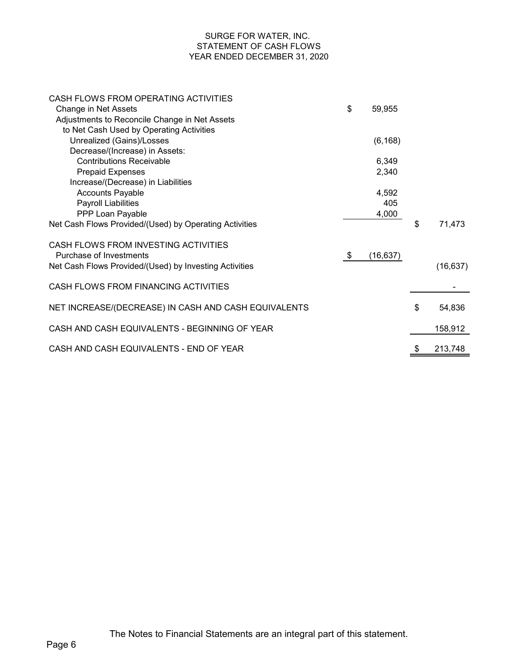### SURGE FOR WATER, INC. STATEMENT OF CASH FLOWS YEAR ENDED DECEMBER 31, 2020

| CASH FLOWS FROM OPERATING ACTIVITIES                   |                 |               |
|--------------------------------------------------------|-----------------|---------------|
| Change in Net Assets                                   | \$<br>59,955    |               |
| Adjustments to Reconcile Change in Net Assets          |                 |               |
| to Net Cash Used by Operating Activities               |                 |               |
| Unrealized (Gains)/Losses                              | (6, 168)        |               |
| Decrease/(Increase) in Assets:                         |                 |               |
| <b>Contributions Receivable</b>                        | 6,349           |               |
| <b>Prepaid Expenses</b>                                | 2,340           |               |
| Increase/(Decrease) in Liabilities                     |                 |               |
| <b>Accounts Payable</b>                                | 4,592           |               |
| Payroll Liabilities                                    | 405             |               |
| PPP Loan Payable                                       | 4,000           |               |
| Net Cash Flows Provided/(Used) by Operating Activities |                 | \$<br>71,473  |
| CASH FLOWS FROM INVESTING ACTIVITIES                   |                 |               |
| Purchase of Investments                                | \$<br>(16, 637) |               |
| Net Cash Flows Provided/(Used) by Investing Activities |                 | (16, 637)     |
| CASH FLOWS FROM FINANCING ACTIVITIES                   |                 |               |
| NET INCREASE/(DECREASE) IN CASH AND CASH EQUIVALENTS   |                 | \$<br>54,836  |
| CASH AND CASH EQUIVALENTS - BEGINNING OF YEAR          |                 | 158,912       |
| CASH AND CASH EQUIVALENTS - END OF YEAR                |                 | \$<br>213,748 |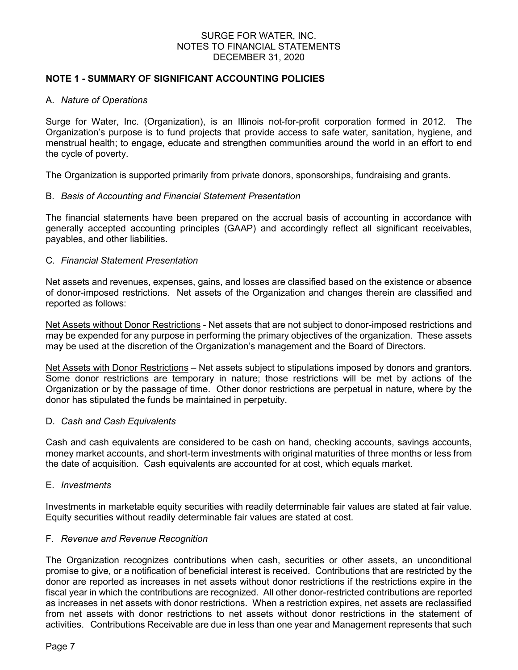### SURGE FOR WATER, INC. NOTES TO FINANCIAL STATEMENTS DECEMBER 31, 2020

# **NOTE 1 - SUMMARY OF SIGNIFICANT ACCOUNTING POLICIES**

#### A. *Nature of Operations*

Surge for Water, Inc. (Organization), is an Illinois not-for-profit corporation formed in 2012. The Organization's purpose is to fund projects that provide access to safe water, sanitation, hygiene, and menstrual health; to engage, educate and strengthen communities around the world in an effort to end the cycle of poverty.

The Organization is supported primarily from private donors, sponsorships, fundraising and grants.

### B. *Basis of Accounting and Financial Statement Presentation*

The financial statements have been prepared on the accrual basis of accounting in accordance with generally accepted accounting principles (GAAP) and accordingly reflect all significant receivables, payables, and other liabilities.

### C. *Financial Statement Presentation*

Net assets and revenues, expenses, gains, and losses are classified based on the existence or absence of donor-imposed restrictions. Net assets of the Organization and changes therein are classified and reported as follows:

Net Assets without Donor Restrictions - Net assets that are not subject to donor-imposed restrictions and may be expended for any purpose in performing the primary objectives of the organization. These assets may be used at the discretion of the Organization's management and the Board of Directors.

Net Assets with Donor Restrictions – Net assets subject to stipulations imposed by donors and grantors. Some donor restrictions are temporary in nature; those restrictions will be met by actions of the Organization or by the passage of time. Other donor restrictions are perpetual in nature, where by the donor has stipulated the funds be maintained in perpetuity.

#### D. *Cash and Cash Equivalents*

Cash and cash equivalents are considered to be cash on hand, checking accounts, savings accounts, money market accounts, and short-term investments with original maturities of three months or less from the date of acquisition. Cash equivalents are accounted for at cost, which equals market.

#### E. *Investments*

Investments in marketable equity securities with readily determinable fair values are stated at fair value. Equity securities without readily determinable fair values are stated at cost.

#### F. *Revenue and Revenue Recognition*

The Organization recognizes contributions when cash, securities or other assets, an unconditional promise to give, or a notification of beneficial interest is received. Contributions that are restricted by the donor are reported as increases in net assets without donor restrictions if the restrictions expire in the fiscal year in which the contributions are recognized. All other donor-restricted contributions are reported as increases in net assets with donor restrictions. When a restriction expires, net assets are reclassified from net assets with donor restrictions to net assets without donor restrictions in the statement of activities. Contributions Receivable are due in less than one year and Management represents that such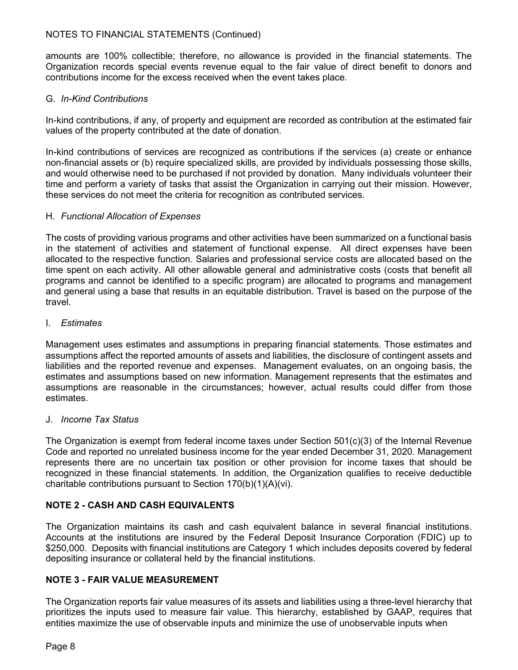# NOTES TO FINANCIAL STATEMENTS (Continued)

amounts are 100% collectible; therefore, no allowance is provided in the financial statements. The Organization records special events revenue equal to the fair value of direct benefit to donors and contributions income for the excess received when the event takes place.

# G. *In-Kind Contributions*

In-kind contributions, if any, of property and equipment are recorded as contribution at the estimated fair values of the property contributed at the date of donation.

In-kind contributions of services are recognized as contributions if the services (a) create or enhance non-financial assets or (b) require specialized skills, are provided by individuals possessing those skills, and would otherwise need to be purchased if not provided by donation. Many individuals volunteer their time and perform a variety of tasks that assist the Organization in carrying out their mission. However, these services do not meet the criteria for recognition as contributed services.

### H. *Functional Allocation of Expenses*

The costs of providing various programs and other activities have been summarized on a functional basis in the statement of activities and statement of functional expense. All direct expenses have been allocated to the respective function. Salaries and professional service costs are allocated based on the time spent on each activity. All other allowable general and administrative costs (costs that benefit all programs and cannot be identified to a specific program) are allocated to programs and management and general using a base that results in an equitable distribution. Travel is based on the purpose of the travel.

# I. *Estimates*

Management uses estimates and assumptions in preparing financial statements. Those estimates and assumptions affect the reported amounts of assets and liabilities, the disclosure of contingent assets and liabilities and the reported revenue and expenses. Management evaluates, on an ongoing basis, the estimates and assumptions based on new information. Management represents that the estimates and assumptions are reasonable in the circumstances; however, actual results could differ from those estimates.

# J. *Income Tax Status*

The Organization is exempt from federal income taxes under Section 501(c)(3) of the Internal Revenue Code and reported no unrelated business income for the year ended December 31, 2020. Management represents there are no uncertain tax position or other provision for income taxes that should be recognized in these financial statements. In addition, the Organization qualifies to receive deductible charitable contributions pursuant to Section 170(b)(1)(A)(vi).

# **NOTE 2 - CASH AND CASH EQUIVALENTS**

The Organization maintains its cash and cash equivalent balance in several financial institutions. Accounts at the institutions are insured by the Federal Deposit Insurance Corporation (FDIC) up to \$250,000. Deposits with financial institutions are Category 1 which includes deposits covered by federal depositing insurance or collateral held by the financial institutions.

# **NOTE 3 - FAIR VALUE MEASUREMENT**

The Organization reports fair value measures of its assets and liabilities using a three-level hierarchy that prioritizes the inputs used to measure fair value. This hierarchy, established by GAAP, requires that entities maximize the use of observable inputs and minimize the use of unobservable inputs when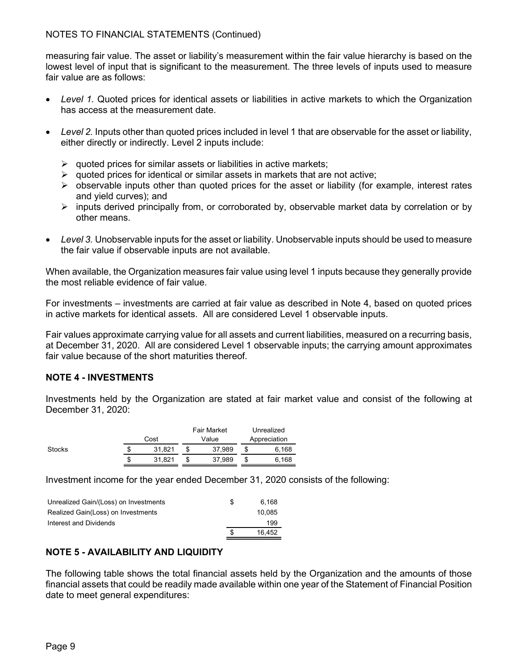measuring fair value. The asset or liability's measurement within the fair value hierarchy is based on the lowest level of input that is significant to the measurement. The three levels of inputs used to measure fair value are as follows:

- *Level 1.* Quoted prices for identical assets or liabilities in active markets to which the Organization has access at the measurement date.
- *Level 2.* Inputs other than quoted prices included in level 1 that are observable for the asset or liability, either directly or indirectly. Level 2 inputs include:
	- $\triangleright$  quoted prices for similar assets or liabilities in active markets;
	- $\triangleright$  quoted prices for identical or similar assets in markets that are not active;
	- $\triangleright$  observable inputs other than quoted prices for the asset or liability (for example, interest rates and yield curves); and
	- $\triangleright$  inputs derived principally from, or corroborated by, observable market data by correlation or by other means.
- *Level 3.* Unobservable inputs for the asset or liability. Unobservable inputs should be used to measure the fair value if observable inputs are not available.

When available, the Organization measures fair value using level 1 inputs because they generally provide the most reliable evidence of fair value.

For investments – investments are carried at fair value as described in Note 4, based on quoted prices in active markets for identical assets. All are considered Level 1 observable inputs.

Fair values approximate carrying value for all assets and current liabilities, measured on a recurring basis, at December 31, 2020. All are considered Level 1 observable inputs; the carrying amount approximates fair value because of the short maturities thereof.

# **NOTE 4 - INVESTMENTS**

Investments held by the Organization are stated at fair market value and consist of the following at December 31, 2020:

|        |   |        | <b>Fair Market</b> |        | Unrealized   |
|--------|---|--------|--------------------|--------|--------------|
|        |   | Cost   | Value              |        | Appreciation |
| Stocks | S | 31.821 |                    | 37.989 | 6.168        |
|        | S | 31.821 |                    | 37.989 | 6.168        |

Investment income for the year ended December 31, 2020 consists of the following:

| Unrealized Gain/(Loss) on Investments | S | 6.168  |
|---------------------------------------|---|--------|
| Realized Gain(Loss) on Investments    |   | 10.085 |
| Interest and Dividends                |   | 199    |
|                                       | S | 16.452 |

# **NOTE 5 - AVAILABILITY AND LIQUIDITY**

The following table shows the total financial assets held by the Organization and the amounts of those financial assets that could be readily made available within one year of the Statement of Financial Position date to meet general expenditures: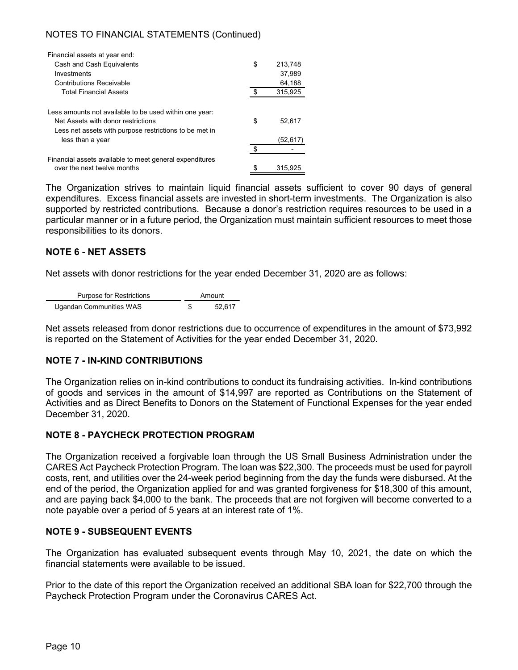# NOTES TO FINANCIAL STATEMENTS (Continued)

| Financial assets at year end:                                                                                                                                              |          |                    |
|----------------------------------------------------------------------------------------------------------------------------------------------------------------------------|----------|--------------------|
| Cash and Cash Equivalents                                                                                                                                                  | \$       | 213,748            |
| Investments                                                                                                                                                                |          | 37.989             |
| <b>Contributions Receivable</b>                                                                                                                                            |          | 64,188             |
| <b>Total Financial Assets</b>                                                                                                                                              | \$       | 315,925            |
| Less amounts not available to be used within one year:<br>Net Assets with donor restrictions<br>Less net assets with purpose restrictions to be met in<br>less than a year | \$<br>\$ | 52,617<br>(52,617) |
|                                                                                                                                                                            |          |                    |
| Financial assets available to meet general expenditures<br>over the next twelve months                                                                                     | \$       | 315,925            |

The Organization strives to maintain liquid financial assets sufficient to cover 90 days of general expenditures. Excess financial assets are invested in short-term investments. The Organization is also supported by restricted contributions. Because a donor's restriction requires resources to be used in a particular manner or in a future period, the Organization must maintain sufficient resources to meet those responsibilities to its donors.

# **NOTE 6 - NET ASSETS**

Net assets with donor restrictions for the year ended December 31, 2020 are as follows:

| <b>Purpose for Restrictions</b> | Amount |
|---------------------------------|--------|
| Ugandan Communities WAS         | 52.617 |

Net assets released from donor restrictions due to occurrence of expenditures in the amount of \$73,992 is reported on the Statement of Activities for the year ended December 31, 2020.

# **NOTE 7 - IN-KIND CONTRIBUTIONS**

The Organization relies on in-kind contributions to conduct its fundraising activities. In-kind contributions of goods and services in the amount of \$14,997 are reported as Contributions on the Statement of Activities and as Direct Benefits to Donors on the Statement of Functional Expenses for the year ended December 31, 2020.

# **NOTE 8 - PAYCHECK PROTECTION PROGRAM**

The Organization received a forgivable loan through the US Small Business Administration under the CARES Act Paycheck Protection Program. The loan was \$22,300. The proceeds must be used for payroll costs, rent, and utilities over the 24-week period beginning from the day the funds were disbursed. At the end of the period, the Organization applied for and was granted forgiveness for \$18,300 of this amount, and are paying back \$4,000 to the bank. The proceeds that are not forgiven will become converted to a note payable over a period of 5 years at an interest rate of 1%.

#### **NOTE 9 - SUBSEQUENT EVENTS**

The Organization has evaluated subsequent events through May 10, 2021, the date on which the financial statements were available to be issued.

Prior to the date of this report the Organization received an additional SBA loan for \$22,700 through the Paycheck Protection Program under the Coronavirus CARES Act.